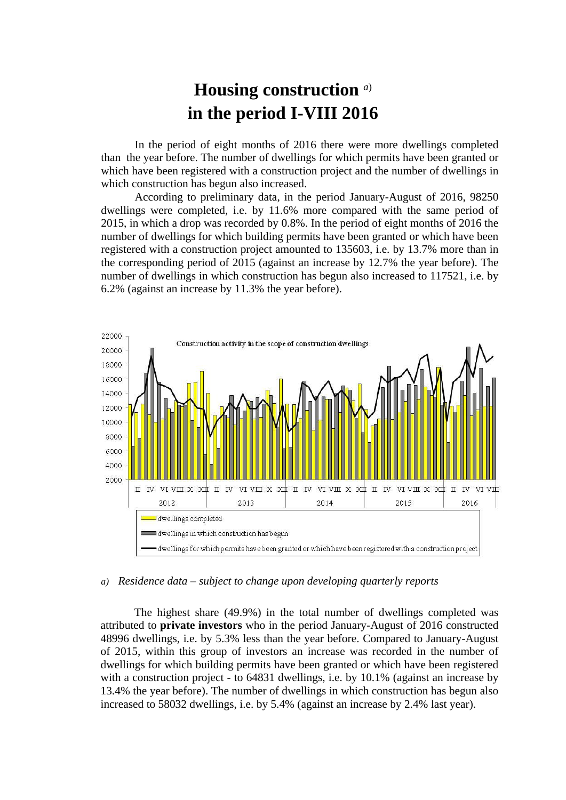## **Housing construction** *a*) **in the period I-VIII 2016**

In the period of eight months of 2016 there were more dwellings completed than the year before. The number of dwellings for which permits have been granted or which have been registered with a construction project and the number of dwellings in which construction has begun also increased.

According to preliminary data, in the period January-August of 2016, 98250 dwellings were completed, i.e. by 11.6% more compared with the same period of 2015, in which a drop was recorded by 0.8%. In the period of eight months of 2016 the number of dwellings for which building permits have been granted or which have been registered with a construction project amounted to 135603, i.e. by 13.7% more than in the corresponding period of 2015 (against an increase by 12.7% the year before). The number of dwellings in which construction has begun also increased to 117521, i.e. by 6.2% (against an increase by 11.3% the year before).



## *a) Residence data – subject to change upon developing quarterly reports*

The highest share (49.9%) in the total number of dwellings completed was attributed to **private investors** who in the period January-August of 2016 constructed 48996 dwellings, i.e. by 5.3% less than the year before. Compared to January-August of 2015, within this group of investors an increase was recorded in the number of dwellings for which building permits have been granted or which have been registered with a construction project - to 64831 dwellings, i.e. by 10.1% (against an increase by 13.4% the year before). The number of dwellings in which construction has begun also increased to 58032 dwellings, i.e. by 5.4% (against an increase by 2.4% last year).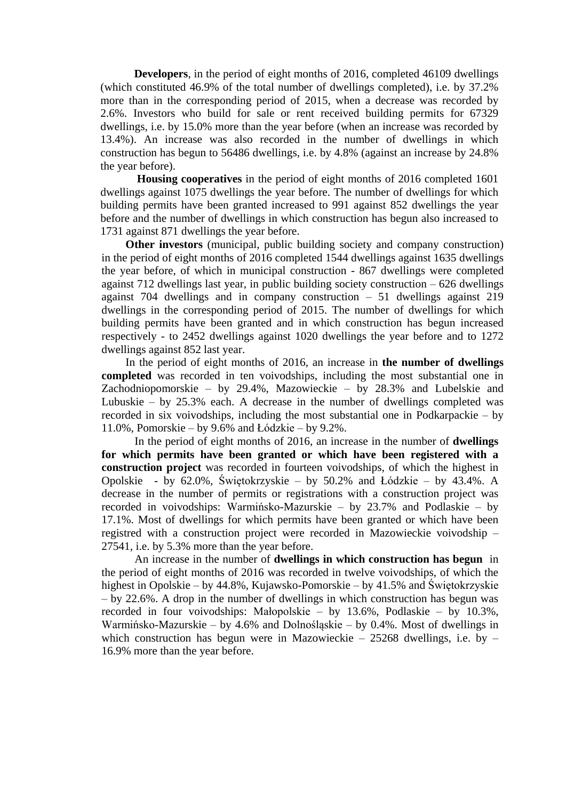**Developers**, in the period of eight months of 2016, completed 46109 dwellings (which constituted 46.9% of the total number of dwellings completed), i.e. by 37.2% more than in the corresponding period of 2015, when a decrease was recorded by 2.6%. Investors who build for sale or rent received building permits for 67329 dwellings, i.e. by 15.0% more than the year before (when an increase was recorded by 13.4%). An increase was also recorded in the number of dwellings in which construction has begun to 56486 dwellings, i.e. by 4.8% (against an increase by 24.8% the year before).

**Housing cooperatives** in the period of eight months of 2016 completed 1601 dwellings against 1075 dwellings the year before. The number of dwellings for which building permits have been granted increased to 991 against 852 dwellings the year before and the number of dwellings in which construction has begun also increased to 1731 against 871 dwellings the year before.

**Other investors** (municipal, public building society and company construction) in the period of eight months of 2016 completed 1544 dwellings against 1635 dwellings the year before, of which in municipal construction - 867 dwellings were completed against 712 dwellings last year, in public building society construction – 626 dwellings against 704 dwellings and in company construction – 51 dwellings against 219 dwellings in the corresponding period of 2015. The number of dwellings for which building permits have been granted and in which construction has begun increased respectively - to 2452 dwellings against 1020 dwellings the year before and to 1272 dwellings against 852 last year.

In the period of eight months of 2016, an increase in **the number of dwellings completed** was recorded in ten voivodships, including the most substantial one in Zachodniopomorskie – by 29.4%, Mazowieckie – by 28.3% and Lubelskie and Lubuskie – by  $25.3\%$  each. A decrease in the number of dwellings completed was recorded in six voivodships, including the most substantial one in Podkarpackie – by 11.0%, Pomorskie – by 9.6% and Łódzkie – by 9.2%.

In the period of eight months of 2016, an increase in the number of **dwellings for which permits have been granted or which have been registered with a construction project** was recorded in fourteen voivodships, of which the highest in Opolskie - by 62.0%, Świętokrzyskie – by 50.2% and Łódzkie – by 43.4%. A decrease in the number of permits or registrations with a construction project was recorded in voivodships: Warmińsko-Mazurskie – by 23.7% and Podlaskie – by 17.1%. Most of dwellings for which permits have been granted or which have been registred with a construction project were recorded in Mazowieckie voivodship – 27541, i.e. by 5.3% more than the year before.

An increase in the number of **dwellings in which construction has begun** in the period of eight months of 2016 was recorded in twelve voivodships, of which the highest in Opolskie – by 44.8%, Kujawsko-Pomorskie – by 41.5% and Świętokrzyskie – by 22.6%. A drop in the number of dwellings in which construction has begun was recorded in four voivodships: Małopolskie – by 13.6%, Podlaskie – by 10.3%, Warmińsko-Mazurskie – by 4.6% and Dolnośląskie – by 0.4%. Most of dwellings in which construction has begun were in Mazowieckie –  $25268$  dwellings, i.e. by – 16.9% more than the year before.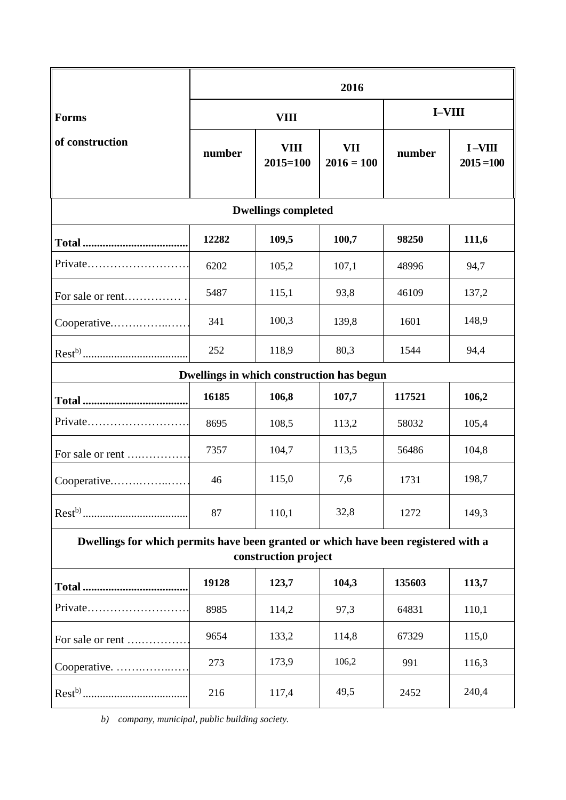|                                                                                                            | 2016        |                             |                            |               |                          |
|------------------------------------------------------------------------------------------------------------|-------------|-----------------------------|----------------------------|---------------|--------------------------|
| <b>Forms</b><br>of construction                                                                            | <b>VIII</b> |                             |                            | <b>I-VIII</b> |                          |
|                                                                                                            | number      | <b>VIII</b><br>$2015 = 100$ | <b>VII</b><br>$2016 = 100$ | number        | $I-VIII$<br>$2015 = 100$ |
| <b>Dwellings completed</b>                                                                                 |             |                             |                            |               |                          |
|                                                                                                            | 12282       | 109,5                       | 100,7                      | 98250         | 111,6                    |
| Private                                                                                                    | 6202        | 105,2                       | 107,1                      | 48996         | 94,7                     |
| For sale or rent                                                                                           | 5487        | 115,1                       | 93,8                       | 46109         | 137,2                    |
| Cooperative                                                                                                | 341         | 100,3                       | 139,8                      | 1601          | 148,9                    |
|                                                                                                            | 252         | 118,9                       | 80,3                       | 1544          | 94,4                     |
| Dwellings in which construction has begun                                                                  |             |                             |                            |               |                          |
|                                                                                                            | 16185       | 106,8                       | 107,7                      | 117521        | 106,2                    |
| Private                                                                                                    | 8695        | 108,5                       | 113,2                      | 58032         | 105,4                    |
| For sale or rent                                                                                           | 7357        | 104,7                       | 113,5                      | 56486         | 104,8                    |
| Cooperative                                                                                                | 46          | 115,0                       | 7,6                        | 1731          | 198,7                    |
| $\text{Rest}^{b}$                                                                                          | 87          | 110,1                       | 32,8                       | 1272          | 149,3                    |
| Dwellings for which permits have been granted or which have been registered with a<br>construction project |             |                             |                            |               |                          |
|                                                                                                            | 19128       | 123,7                       | 104,3                      | 135603        | 113,7                    |
| Private                                                                                                    | 8985        | 114,2                       | 97,3                       | 64831         | 110,1                    |
| For sale or rent                                                                                           | 9654        | 133,2                       | 114,8                      | 67329         | 115,0                    |
| Cooperative.                                                                                               | 273         | 173,9                       | 106,2                      | 991           | 116,3                    |
|                                                                                                            | 216         | 117,4                       | 49,5                       | 2452          | 240,4                    |

*b) company, municipal, public building society.*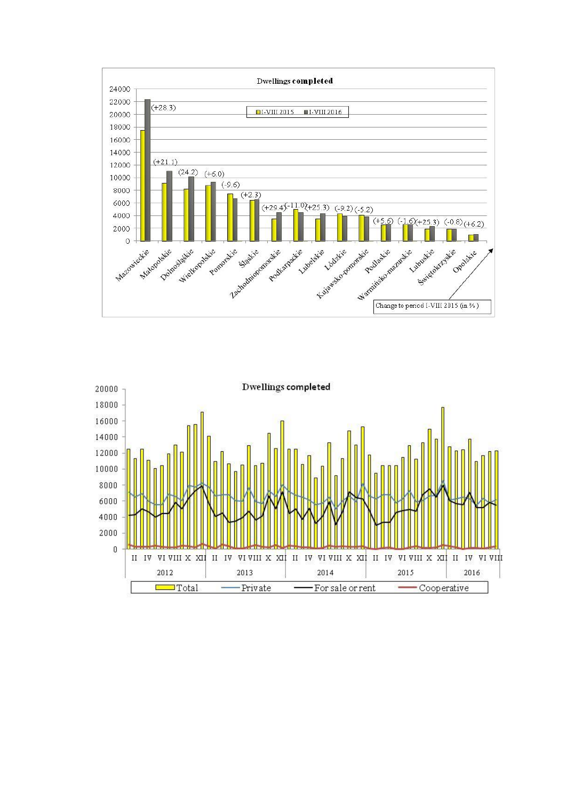